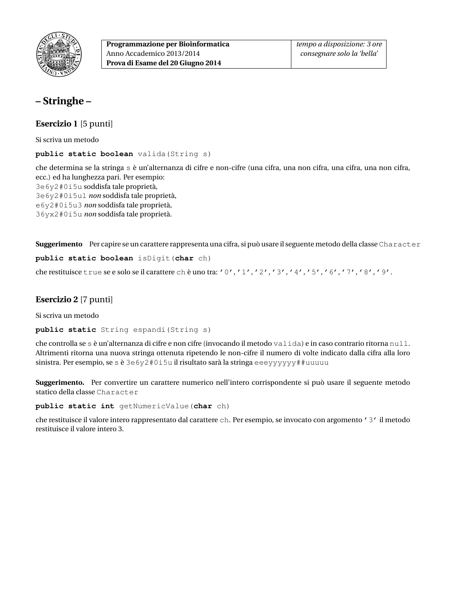

# **– Stringhe –**

**Esercizio 1** [5 punti]

Si scriva un metodo

**public static boolean** valida(String s)

che determina se la stringa s è un'alternanza di cifre e non-cifre (una cifra, una non cifra, una cifra, una non cifra, ecc.) ed ha lunghezza pari. Per esempio: 3e6y2#0i5u soddisfa tale proprietà, 3e6y2#0i5u1 *non* soddisfa tale proprietà, e6y2#0i5u3 *non* soddisfa tale proprietà, 36yx2#0i5u *non* soddisfa tale proprietà.

**Suggerimento** Per capire se un carattere rappresenta una cifra, si può usare il seguente metodo della classe Character **public static boolean** isDigit(**char** ch)

che restituisce true se e solo se il carattere ch è uno tra: '0', '1', '2', '3', '4', '5', '6', '7', '8', '9'.

### **Esercizio 2** [7 punti]

Si scriva un metodo

**public static** String espandi(String s)

che controlla se s è un'alternanza di cifre e non cifre (invocando il metodo valida) e in caso contrario ritorna null. Altrimenti ritorna una nuova stringa ottenuta ripetendo le non-cifre il numero di volte indicato dalla cifra alla loro sinistra. Per esempio, se s è  $3e6y2f0i5u$  il risultato sarà la stringa eeeyyyyyy##uuuuu

**Suggerimento.** Per convertire un carattere numerico nell'intero corrispondente si può usare il seguente metodo statico della classe Character

**public static int** getNumericValue(**char** ch)

che restituisce il valore intero rappresentato dal carattere ch. Per esempio, se invocato con argomento '3' il metodo restituisce il valore intero 3.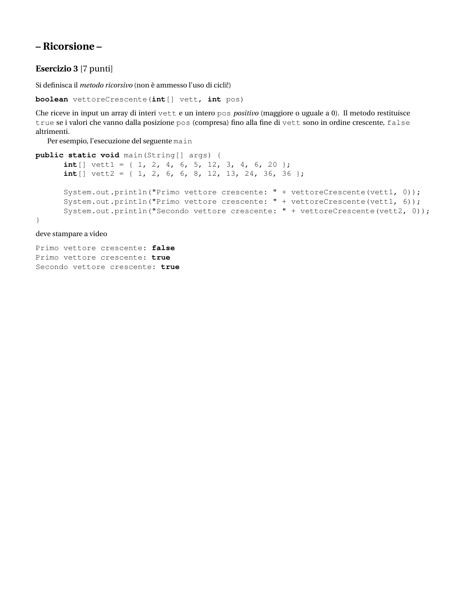## **– Ricorsione –**

### **Esercizio 3** [7 punti]

Si definisca il *metodo ricorsivo* (non è ammesso l'uso di cicli!)

```
boolean vettoreCrescente(int[] vett, int pos)
```
Che riceve in input un array di interi vett e un intero pos *positivo* (maggiore o uguale a 0). Il metodo restituisce true se i valori che vanno dalla posizione pos (compresa) fino alla fine di vett sono in ordine crescente, false altrimenti.

Per esempio, l'esecuzione del seguente main

```
public static void main(String[] args) {
      int[] vett1 = \{ 1, 2, 4, 6, 5, 12, 3, 4, 6, 20 \};
      int[] vett2 = { 1, 2, 6, 6, 8, 12, 13, 24, 36, 36 };
      System.out.println("Primo vettore crescente: " + vettoreCrescente(vett1, 0));
      System.out.println("Primo vettore crescente: " + vettoreCrescente(vett1, 6));
      System.out.println("Secondo vettore crescente: " + vettoreCrescente(vett2, 0));
}
```
deve stampare a video

Primo vettore crescente: **false** Primo vettore crescente: **true** Secondo vettore crescente: **true**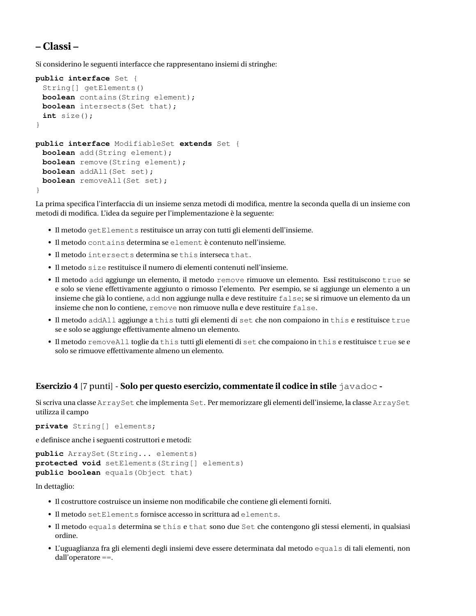## **– Classi –**

Si considerino le seguenti interfacce che rappresentano insiemi di stringhe:

```
public interface Set {
 String[] getElements()
 boolean contains(String element);
 boolean intersects(Set that);
 int size();
}
public interface ModifiableSet extends Set {
 boolean add(String element);
 boolean remove(String element);
 boolean addAll(Set set);
 boolean removeAll(Set set);
}
```
La prima specifica l'interfaccia di un insieme senza metodi di modifica, mentre la seconda quella di un insieme con metodi di modifica. L'idea da seguire per l'implementazione è la seguente:

- Il metodo getElements restituisce un array con tutti gli elementi dell'insieme.
- Il metodo contains determina se element è contenuto nell'insieme.
- Il metodo intersects determina se this interseca that.
- Il metodo size restituisce il numero di elementi contenuti nell'insieme.
- Il metodo add aggiunge un elemento, il metodo remove rimuove un elemento. Essi restituiscono true se e solo se viene effettivamente aggiunto o rimosso l'elemento. Per esempio, se si aggiunge un elemento a un insieme che già lo contiene, add non aggiunge nulla e deve restituire false; se si rimuove un elemento da un insieme che non lo contiene, remove non rimuove nulla e deve restituire false.
- Il metodo addAll aggiunge a this tutti gli elementi di set che non compaiono in this e restituisce true se e solo se aggiunge effettivamente almeno un elemento.
- Il metodo removeAll toglie da this tutti gli elementi di set che compaiono in this e restituisce true se e solo se rimuove effettivamente almeno un elemento.

#### **Esercizio 4** [7 punti] - **Solo per questo esercizio, commentate il codice in stile** javadoc **-**

Si scriva una classe ArraySet che implementa Set. Per memorizzare gli elementi dell'insieme, la classe ArraySet utilizza il campo

**private** String[] elements;

e definisce anche i seguenti costruttori e metodi:

```
public ArraySet(String... elements)
protected void setElements(String[] elements)
public boolean equals(Object that)
```
In dettaglio:

- Il costruttore costruisce un insieme non modificabile che contiene gli elementi forniti.
- Il metodo setElements fornisce accesso in scrittura ad elements.
- Il metodo equals determina se this e that sono due Set che contengono gli stessi elementi, in qualsiasi ordine.
- L'uguaglianza fra gli elementi degli insiemi deve essere determinata dal metodo equals di tali elementi, non dall'operatore ==.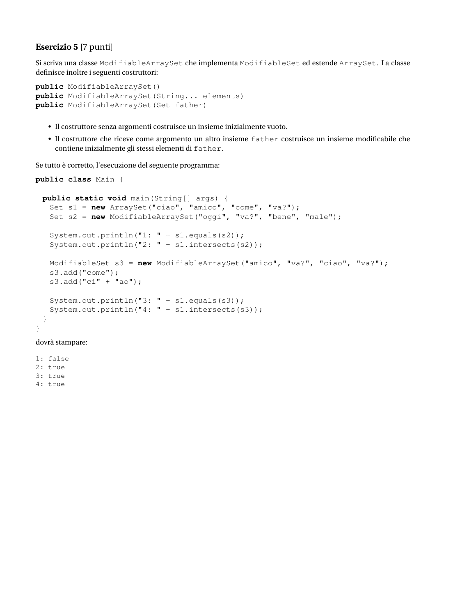### **Esercizio 5** [7 punti]

Si scriva una classe ModifiableArraySet che implementa ModifiableSet ed estende ArraySet. La classe definisce inoltre i seguenti costruttori:

```
public ModifiableArraySet()
public ModifiableArraySet(String... elements)
public ModifiableArraySet(Set father)
```
- Il costruttore senza argomenti costruisce un insieme inizialmente vuoto.
- Il costruttore che riceve come argomento un altro insieme father costruisce un insieme modificabile che contiene inizialmente gli stessi elementi di father.

Se tutto è corretto, l'esecuzione del seguente programma:

```
public class Main {
 public static void main(String[] args) {
   Set s1 = new ArraySet("ciao", "amico", "come", "va?");
   Set s2 = new ModifiableArraySet("oggi", "va?", "bene", "male");
   System.out.println("1: " + s1.equals(s2));
   System.out.println("2: " + s1.intersects(s2));
  ModifiableSet s3 = new ModifiableArraySet("amico", "va?", "ciao", "va?");
   s3.add("come");
   s3.add("ci" + "ao");System.out.println("3: " + s1.equals(s3));
   System.out.println("4: " + s1.intersects(s3));
 }
}
```
dovrà stampare:

1: false 2: true 3: true

4: true